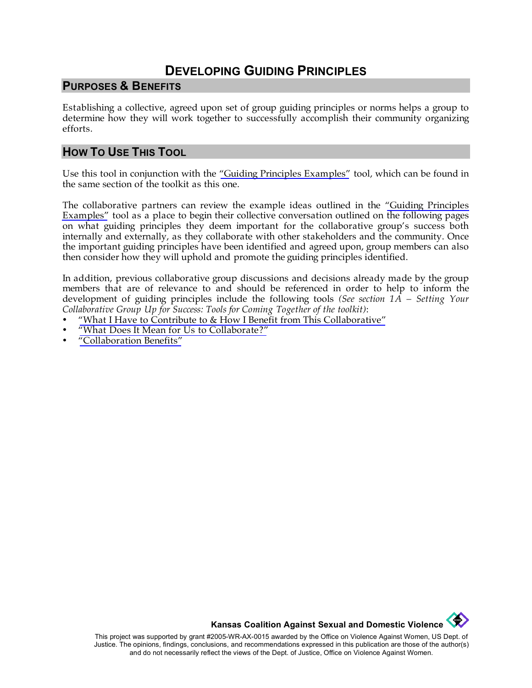## **DEVELOPING GUIDING PRINCIPLES**

#### **PURPOSES & BENEFITS**

Establishing a collective, agreed upon set of group guiding principles or norms helps a group to determine how they will work together to successfully accomplish their community organizing efforts.

#### **HOW TO USE THIS TOOL**

Use this tool in conjunction with the ["Guiding Principles Examples"](http://www.kcsdv.org/toolkit/commorgtoolkit.html#GuidingPrinciples) tool, which can be found in the same section of the toolkit as this one.

The collaborative partners can review the example ideas outlined in the ["Guiding Principles](http://www.kcsdv.org/toolkit/commorgtoolkit.html#GuidingPrinciples)  [Examples"](http://www.kcsdv.org/toolkit/commorgtoolkit.html#GuidingPrinciples) tool as a place to begin their collective conversation outlined on the following pages on what guiding principles they deem important for the collaborative group's success both internally and externally, as they collaborate with other stakeholders and the community. Once the important guiding principles have been identified and agreed upon, group members can also then consider how they will uphold and promote the guiding principles identified.

In addition, previous collaborative group discussions and decisions already made by the group members that are of relevance to and should be referenced in order to help to inform the development of guiding principles include the following tools *(See section 1A – Setting Your Collaborative Group Up for Success: Tools for Coming Together of the toolkit)*:

- ["What I Have to Contribute to & How I Benefit from This Collaborative"](http://www.kcsdv.org/toolkit/commorgtoolkit.html#ContributeandBenefit)
- ["What Does It Mean for Us to Collaborate?"](http://www.kcsdv.org/toolkit/commorgtoolkit.html#Collaborate)
- ["Collaboration Benefits"](http://www.kcsdv.org/toolkit/commorgtoolkit.html#CollaborationBenefits)

**Kansas Coalition Against Sexual and Domestic Violence** 

**Contract of the Second** 

This project was supported by grant #2005-WR-AX-0015 awarded by the Office on Violence Against Women, US Dept. of Justice. The opinions, findings, conclusions, and recommendations expressed in this publication are those of the author(s) and do not necessarily reflect the views of the Dept. of Justice, Office on Violence Against Women.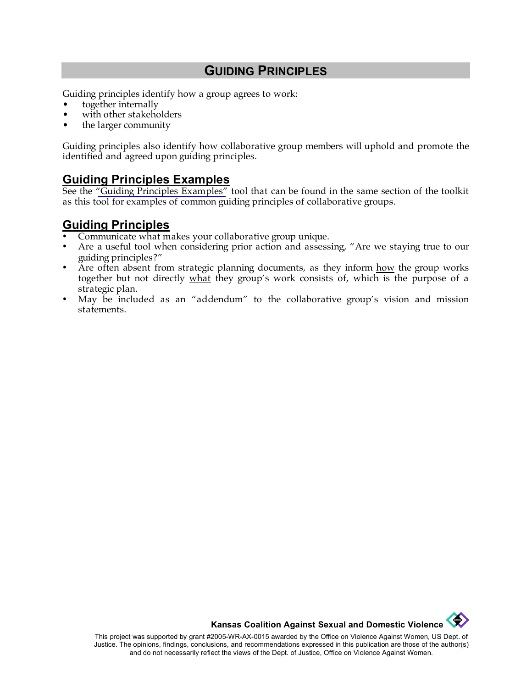#### **GUIDING PRINCIPLES**

Guiding principles identify how a group agrees to work:

- together internally
- with other stakeholders
- the larger community

Guiding principles also identify how collaborative group members will uphold and promote the identified and agreed upon guiding principles.

#### **Guiding Principles Examples**

See the ["Guiding Principles Examples"](http://www.kcsdv.org/toolkit/commorgtoolkit.html#GuidingPrinciples) tool that can be found in the same section of the toolkit as this tool for examples of common guiding principles of collaborative groups.

## **Guiding Principles**

- Communicate what makes your collaborative group unique.
- Are a useful tool when considering prior action and assessing, "Are we staying true to our guiding principles?"
- Are often absent from strategic planning documents, as they inform how the group works together but not directly what they group's work consists of, which is the purpose of a strategic plan.
- May be included as an "addendum" to the collaborative group's vision and mission statements.

**Kansas Coalition Against Sexual and Domestic Violence** 

This project was supported by grant #2005-WR-AX-0015 awarded by the Office on Violence Against Women, US Dept. of Justice. The opinions, findings, conclusions, and recommendations expressed in this publication are those of the author(s) and do not necessarily reflect the views of the Dept. of Justice, Office on Violence Against Women.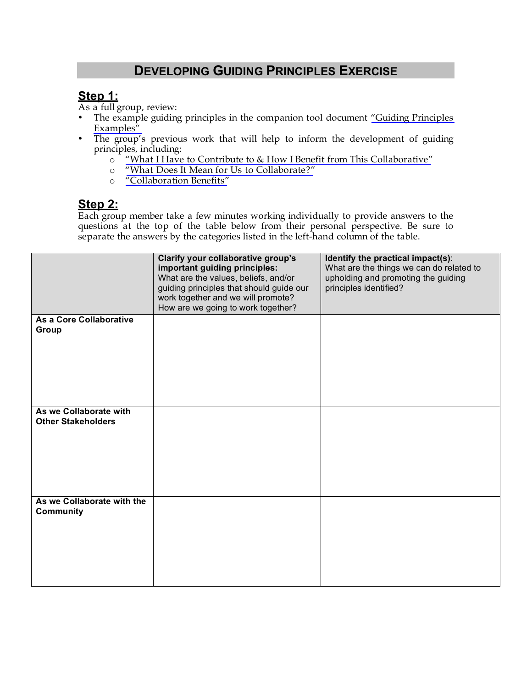# **DEVELOPING GUIDING PRINCIPLES EXERCISE**

## **Step 1:**

As a full group, review:

- The example guiding principles in the companion tool document ["Guiding Principles](http://www.kcsdv.org/toolkit/commorgtoolkit.html#GuidingPrinciples)  [Examples"](http://www.kcsdv.org/toolkit/commorgtoolkit.html#GuidingPrinciples)
- The group's previous work that will help to inform the development of guiding principles, including:
	- o ["What I Have to Contribute to & How I Benefit from This Collaborative"](http://www.kcsdv.org/toolkit/commorgtoolkit.html#ContributeandBenefit)
	- o ["What Does It Mean for Us to Collaborate?"](http://www.kcsdv.org/toolkit/commorgtoolkit.html#Collaborate)
	- o ["Collaboration Benefits"](http://www.kcsdv.org/toolkit/commorgtoolkit.html#CollaborationBenefits)

#### **Step 2:**

Each group member take a few minutes working individually to provide answers to the questions at the top of the table below from their personal perspective. Be sure to separate the answers by the categories listed in the left-hand column of the table.

|                                                     | Clarify your collaborative group's<br>important guiding principles:<br>What are the values, beliefs, and/or<br>guiding principles that should guide our<br>work together and we will promote?<br>How are we going to work together? | Identify the practical impact(s):<br>What are the things we can do related to<br>upholding and promoting the guiding<br>principles identified? |
|-----------------------------------------------------|-------------------------------------------------------------------------------------------------------------------------------------------------------------------------------------------------------------------------------------|------------------------------------------------------------------------------------------------------------------------------------------------|
| As a Core Collaborative<br>Group                    |                                                                                                                                                                                                                                     |                                                                                                                                                |
| As we Collaborate with<br><b>Other Stakeholders</b> |                                                                                                                                                                                                                                     |                                                                                                                                                |
| As we Collaborate with the<br><b>Community</b>      |                                                                                                                                                                                                                                     |                                                                                                                                                |